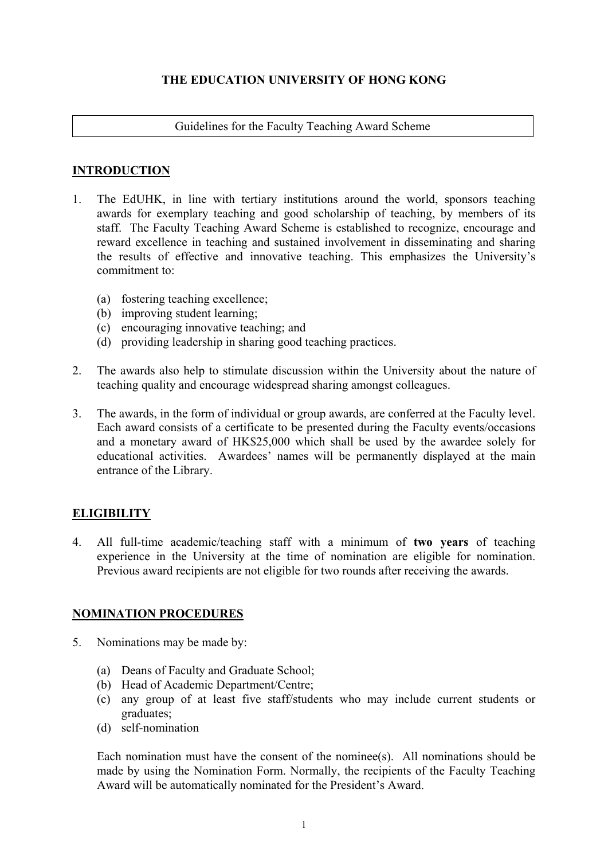# **THE EDUCATION UNIVERSITY OF HONG KONG**

#### Guidelines for the Faculty Teaching Award Scheme

## **INTRODUCTION**

- 1. The EdUHK, in line with tertiary institutions around the world, sponsors teaching awards for exemplary teaching and good scholarship of teaching, by members of its staff. The Faculty Teaching Award Scheme is established to recognize, encourage and reward excellence in teaching and sustained involvement in disseminating and sharing the results of effective and innovative teaching. This emphasizes the University's commitment to:
	- (a) fostering teaching excellence;
	- (b) improving student learning;
	- (c) encouraging innovative teaching; and
	- (d) providing leadership in sharing good teaching practices.
- 2. The awards also help to stimulate discussion within the University about the nature of teaching quality and encourage widespread sharing amongst colleagues.
- 3. The awards, in the form of individual or group awards, are conferred at the Faculty level. Each award consists of a certificate to be presented during the Faculty events/occasions and a monetary award of HK\$25,000 which shall be used by the awardee solely for educational activities. Awardees' names will be permanently displayed at the main entrance of the Library.

# **ELIGIBILITY**

4. All full-time academic/teaching staff with a minimum of **two years** of teaching experience in the University at the time of nomination are eligible for nomination. Previous award recipients are not eligible for two rounds after receiving the awards.

# **NOMINATION PROCEDURES**

- 5. Nominations may be made by:
	- (a) Deans of Faculty and Graduate School;
	- (b) Head of Academic Department/Centre;
	- (c) any group of at least five staff/students who may include current students or graduates;
	- (d) self-nomination

Each nomination must have the consent of the nominee(s). All nominations should be made by using the Nomination Form. Normally, the recipients of the Faculty Teaching Award will be automatically nominated for the President's Award.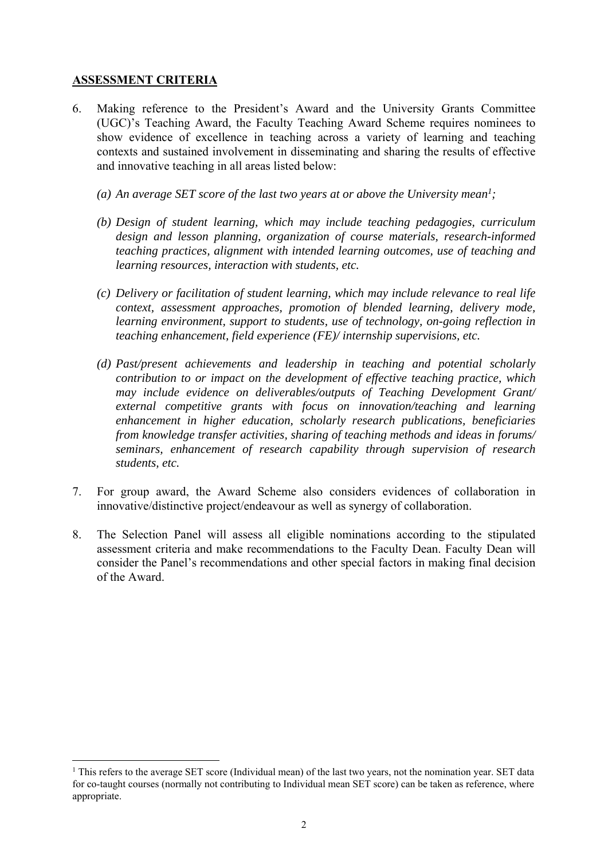## **ASSESSMENT CRITERIA**

1

- 6. Making reference to the President's Award and the University Grants Committee (UGC)'s Teaching Award, the Faculty Teaching Award Scheme requires nominees to show evidence of excellence in teaching across a variety of learning and teaching contexts and sustained involvement in disseminating and sharing the results of effective and innovative teaching in all areas listed below:
	- (a) An average SET score of the last two years at or above the University mean<sup>1</sup>;
	- *(b) Design of student learning, which may include teaching pedagogies, curriculum design and lesson planning, organization of course materials, research-informed teaching practices, alignment with intended learning outcomes, use of teaching and learning resources, interaction with students, etc.*
	- *(c) Delivery or facilitation of student learning, which may include relevance to real life context, assessment approaches, promotion of blended learning, delivery mode, learning environment, support to students, use of technology, on-going reflection in teaching enhancement, field experience (FE)/ internship supervisions, etc.*
	- *(d) Past/present achievements and leadership in teaching and potential scholarly contribution to or impact on the development of effective teaching practice, which may include evidence on deliverables/outputs of Teaching Development Grant/ external competitive grants with focus on innovation/teaching and learning enhancement in higher education, scholarly research publications, beneficiaries from knowledge transfer activities, sharing of teaching methods and ideas in forums/ seminars, enhancement of research capability through supervision of research students, etc.*
- 7. For group award, the Award Scheme also considers evidences of collaboration in innovative/distinctive project/endeavour as well as synergy of collaboration.
- 8. The Selection Panel will assess all eligible nominations according to the stipulated assessment criteria and make recommendations to the Faculty Dean. Faculty Dean will consider the Panel's recommendations and other special factors in making final decision of the Award.

<sup>&</sup>lt;sup>1</sup> This refers to the average SET score (Individual mean) of the last two years, not the nomination year. SET data for co-taught courses (normally not contributing to Individual mean SET score) can be taken as reference, where appropriate.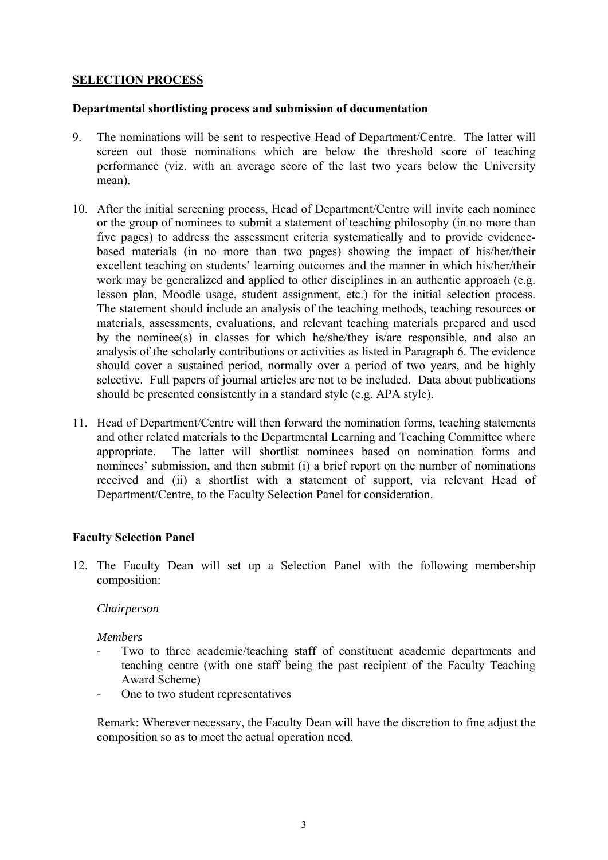## **SELECTION PROCESS**

#### **Departmental shortlisting process and submission of documentation**

- 9. The nominations will be sent to respective Head of Department/Centre. The latter will screen out those nominations which are below the threshold score of teaching performance (viz. with an average score of the last two years below the University mean).
- 10. After the initial screening process, Head of Department/Centre will invite each nominee or the group of nominees to submit a statement of teaching philosophy (in no more than five pages) to address the assessment criteria systematically and to provide evidencebased materials (in no more than two pages) showing the impact of his/her/their excellent teaching on students' learning outcomes and the manner in which his/her/their work may be generalized and applied to other disciplines in an authentic approach (e.g. lesson plan, Moodle usage, student assignment, etc.) for the initial selection process. The statement should include an analysis of the teaching methods, teaching resources or materials, assessments, evaluations, and relevant teaching materials prepared and used by the nominee(s) in classes for which he/she/they is/are responsible, and also an analysis of the scholarly contributions or activities as listed in Paragraph 6. The evidence should cover a sustained period, normally over a period of two years, and be highly selective. Full papers of journal articles are not to be included. Data about publications should be presented consistently in a standard style (e.g. APA style).
- 11. Head of Department/Centre will then forward the nomination forms, teaching statements and other related materials to the Departmental Learning and Teaching Committee where appropriate. The latter will shortlist nominees based on nomination forms and nominees' submission, and then submit (i) a brief report on the number of nominations received and (ii) a shortlist with a statement of support, via relevant Head of Department/Centre, to the Faculty Selection Panel for consideration.

#### **Faculty Selection Panel**

12. The Faculty Dean will set up a Selection Panel with the following membership composition:

## *Chairperson*

#### *Members*

- Two to three academic/teaching staff of constituent academic departments and teaching centre (with one staff being the past recipient of the Faculty Teaching Award Scheme)
- One to two student representatives

Remark: Wherever necessary, the Faculty Dean will have the discretion to fine adjust the composition so as to meet the actual operation need.